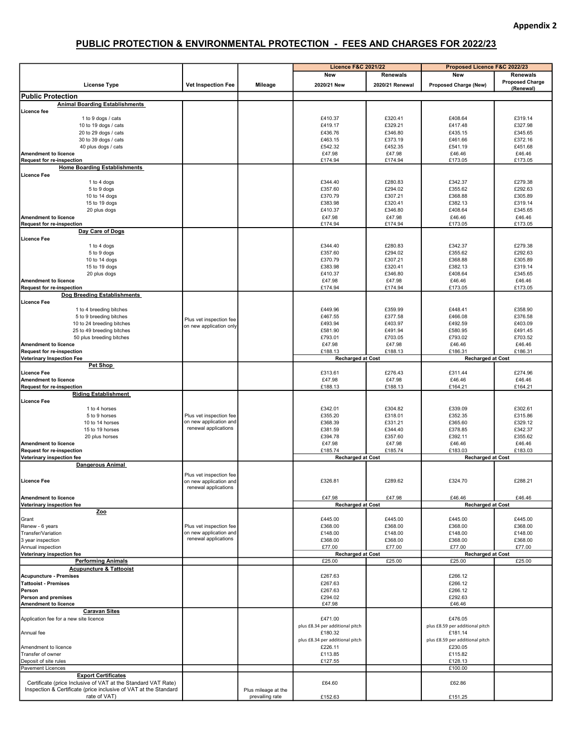## PUBLIC PROTECTION & ENVIRONMENTAL PROTECTION - FEES AND CHARGES FOR 2022/23

|                                                                         |                           |                     | <b>Licence F&amp;C 2021/22</b>  |                 | Proposed Licence F&C 2022/23    |                        |
|-------------------------------------------------------------------------|---------------------------|---------------------|---------------------------------|-----------------|---------------------------------|------------------------|
|                                                                         |                           |                     | New                             | <b>Renewals</b> | New                             | Renewals               |
| <b>License Type</b>                                                     | <b>Vet Inspection Fee</b> | Mileage             | 2020/21 New                     | 2020/21 Renewal | <b>Proposed Charge (New)</b>    | <b>Proposed Charge</b> |
|                                                                         |                           |                     |                                 |                 |                                 | (Renewal)              |
| <b>Public Protection</b>                                                |                           |                     |                                 |                 |                                 |                        |
| <b>Animal Boarding Establishments</b>                                   |                           |                     |                                 |                 |                                 |                        |
| Licence fee                                                             |                           |                     |                                 |                 |                                 |                        |
| 1 to 9 dogs / cats                                                      |                           |                     | £410.37                         | £320.41         | £408.64                         | £319.14                |
| 10 to 19 dogs / cats                                                    |                           |                     | £419.17                         | £329.21         | £417.48                         | £327.98                |
| 20 to 29 dogs / cats                                                    |                           |                     | £436.76                         | £346.80         | £435.15                         | £345.65                |
| 30 to 39 dogs / cats                                                    |                           |                     | £463.15                         | £373.19         | £461.66                         | £372.16                |
| 40 plus dogs / cats                                                     |                           |                     | £542.32                         | £452.35         | £541.19                         | £451.68                |
| <b>Amendment to licence</b>                                             |                           |                     | £47.98                          | £47.98          | £46.46                          | £46.46                 |
| <b>Request for re-inspection</b><br><b>Home Boarding Establishments</b> |                           |                     | £174.94                         | £174.94         | £173.05                         | £173.05                |
| Licence Fee                                                             |                           |                     |                                 |                 |                                 |                        |
| 1 to 4 dogs                                                             |                           |                     | £344.40                         | £280.83         | £342.37                         | £279.38                |
|                                                                         |                           |                     | £357.60                         | £294.02         | £355.62                         | £292.63                |
| 5 to 9 dogs<br>10 to 14 dogs                                            |                           |                     | £370.79                         | £307.21         | £368.88                         | £305.89                |
| 15 to 19 dogs                                                           |                           |                     | £383.98                         | £320.41         | £382.13                         | £319.14                |
|                                                                         |                           |                     | £410.37                         | £346.80         | £408.64                         | £345.65                |
| 20 plus dogs                                                            |                           |                     |                                 |                 |                                 |                        |
| <b>Amendment to licence</b>                                             |                           |                     | £47.98<br>£174.94               | £47.98          | £46.46                          | £46.46<br>£173.05      |
| <b>Request for re-inspection</b><br>Day Care of Dogs                    |                           |                     |                                 | £174.94         | £173.05                         |                        |
|                                                                         |                           |                     |                                 |                 |                                 |                        |
| <b>Licence Fee</b>                                                      |                           |                     | £344.40                         | £280.83         | £342.37                         | £279.38                |
| 1 to 4 dogs                                                             |                           |                     |                                 |                 |                                 |                        |
| 5 to 9 dogs                                                             |                           |                     | £357.60                         | £294.02         | £355.62                         | £292.63                |
| 10 to 14 dogs                                                           |                           |                     | £370.79                         | £307.21         | £368.88                         | £305.89                |
| 15 to 19 dogs                                                           |                           |                     | £383.98                         | £320.41         | £382.13                         | £319.14                |
| 20 plus dogs                                                            |                           |                     | £410.37                         | £346.80         | £408.64                         | £345.65                |
| <b>Amendment to licence</b>                                             |                           |                     | £47.98                          | £47.98          | £46.46                          | £46.46                 |
| <b>Request for re-inspection</b>                                        |                           |                     | £174.94                         | £174.94         | £173.05                         | £173.05                |
| Dog Breeding Establishments                                             |                           |                     |                                 |                 |                                 |                        |
| <b>Licence Fee</b>                                                      |                           |                     |                                 |                 |                                 |                        |
| 1 to 4 breeding bitches                                                 |                           |                     | £449.96                         | £359.99         | £448.41                         | £358.90                |
| 5 to 9 breeding bitches                                                 | Plus vet inspection fee   |                     | £467.55                         | £377.58         | £466.08                         | £376.58                |
| 10 to 24 breeding bitches                                               | on new application only   |                     | £493.94                         | £403.97         | £492.59                         | £403.09                |
| 25 to 49 breeding bitches                                               |                           |                     | £581.90                         | £491.94         | £580.95                         | £491.45                |
| 50 plus breeding bitches                                                |                           |                     | £793.01                         | £703.05         | £793.02                         | £703.52                |
| <b>Amendment to licence</b>                                             |                           |                     | £47.98                          | £47.98          | £46.46                          | £46.46                 |
| <b>Request for re-inspection</b>                                        |                           |                     | £188.13                         | £188.13         | £186.31                         | £186.31                |
| <b>Veterinary Inspection Fee</b>                                        |                           |                     | <b>Recharged at Cost</b>        |                 | <b>Recharged at Cost</b>        |                        |
| Pet Shop                                                                |                           |                     |                                 |                 |                                 |                        |
| <b>Licence Fee</b>                                                      |                           |                     | £313.61                         | £276.43         | £311.44                         | £274.96                |
| <b>Amendment to licence</b>                                             |                           |                     | £47.98                          | £47.98          | £46.46                          | £46.46                 |
| <b>Request for re-inspection</b>                                        |                           |                     | £188.13                         | £188.13         | £164.21                         | £164.21                |
| <b>Riding Establishment</b>                                             |                           |                     |                                 |                 |                                 |                        |
| Licence Fee                                                             |                           |                     |                                 |                 |                                 |                        |
| 1 to 4 horses                                                           |                           |                     | £342.01                         | £304.82         | £339.09                         | £302.61                |
| 5 to 9 horses                                                           | Plus vet inspection fee   |                     | £355.20                         | £318.01         | £352.35                         | £315.86                |
| 10 to 14 horses                                                         | on new application and    |                     | £368.39                         | £331.21         | £365.60                         | £329.12                |
| 15 to 19 horses                                                         | renewal applications      |                     | £381.59                         | £344.40         | £378.85                         | £342.37                |
| 20 plus horses                                                          |                           |                     | £394.78                         | £357.60         | £392.11                         | £355.62                |
| <b>Amendment to licence</b>                                             |                           |                     | £47.98                          | £47.98          | £46.46                          | £46.46                 |
| <b>Request for re-inspection</b>                                        |                           |                     | £185.74                         | £185.74         | £183.03                         | £183.03                |
| Veterinary inspection fee                                               |                           |                     | <b>Recharged at Cost</b>        |                 | <b>Recharged at Cost</b>        |                        |
| Dangerous Animal                                                        |                           |                     |                                 |                 |                                 |                        |
|                                                                         | Plus vet inspection fee   |                     |                                 |                 |                                 |                        |
| Licence Fee                                                             | on new application and    |                     | £326.81                         | £289.62         | £324.70                         | £288.21                |
|                                                                         | renewal applications      |                     |                                 |                 |                                 |                        |
|                                                                         |                           |                     | £47.98                          | £47.98          | £46.46                          | £46.46                 |
| <b>Amendment to licence</b><br>Veterinary inspection fee                |                           |                     | <b>Recharged at Cost</b>        |                 | <b>Recharged at Cost</b>        |                        |
| Zoo                                                                     |                           |                     |                                 |                 |                                 |                        |
| Grant                                                                   |                           |                     | £445.00                         | £445.00         | £445.00                         | £445.00                |
| Renew - 6 years                                                         | Plus vet inspection fee   |                     | £368.00                         | £368.00         | £368.00                         | £368.00                |
| Transfer/Variation                                                      | on new application and    |                     | £148.00                         | £148.00         | £148.00                         | £148.00                |
| 3 year inspection                                                       | renewal applications      |                     | £368.00                         | £368.00         | £368.00                         | £368.00                |
| Annual inspection                                                       |                           |                     | £77.00                          | £77.00          | £77.00                          | £77.00                 |
| Veterinary inspection fee                                               |                           |                     | <b>Recharged at Cost</b>        |                 | <b>Recharged at Cost</b>        |                        |
| <b>Performing Animals</b>                                               |                           |                     | £25.00                          | £25.00          | £25.00                          | £25.00                 |
| <b>Acupuncture &amp; Tattooist</b>                                      |                           |                     |                                 |                 |                                 |                        |
| Acupuncture - Premises                                                  |                           |                     | £267.63                         |                 | £266.12                         |                        |
| <b>Tattooist - Premises</b>                                             |                           |                     | £267.63                         |                 | £266.12                         |                        |
| Person                                                                  |                           |                     | £267.63                         |                 | £266.12                         |                        |
| <b>Person and premises</b>                                              |                           |                     | £294.02                         |                 | £292.63                         |                        |
| <b>Amendment to licence</b>                                             |                           |                     | £47.98                          |                 | £46.46                          |                        |
| <b>Caravan Sites</b>                                                    |                           |                     |                                 |                 |                                 |                        |
|                                                                         |                           |                     | £471.00                         |                 | £476.05                         |                        |
| Application fee for a new site licence                                  |                           |                     | plus £8.34 per additional pitch |                 |                                 |                        |
|                                                                         |                           |                     |                                 |                 | plus £8.59 per additional pitch |                        |
| Annual fee                                                              |                           |                     | £180.32                         |                 | £181.14                         |                        |
|                                                                         |                           |                     | plus £8.34 per additional pitch |                 | plus £8.59 per additional pitch |                        |
| Amendment to licence                                                    |                           |                     | £226.11                         |                 | £230.05                         |                        |
| <b>Transfer of owner</b>                                                |                           |                     | £113.85                         |                 | £115.82                         |                        |
| Deposit of site rules                                                   |                           |                     | £127.55                         |                 | £128.13                         |                        |
| Pavement Licences                                                       |                           |                     |                                 |                 | £100.00                         |                        |
| <b>Export Certificates</b>                                              |                           |                     |                                 |                 |                                 |                        |
| Certificate (price Inclusive of VAT at the Standard VAT Rate)           |                           |                     | £64.60                          |                 | £62.86                          |                        |
| Inspection & Certificate (price inclusive of VAT at the Standard        |                           | Plus mileage at the |                                 |                 |                                 |                        |
| rate of VAT)                                                            |                           | prevailing rate     | £152.63                         |                 | £151.25                         |                        |